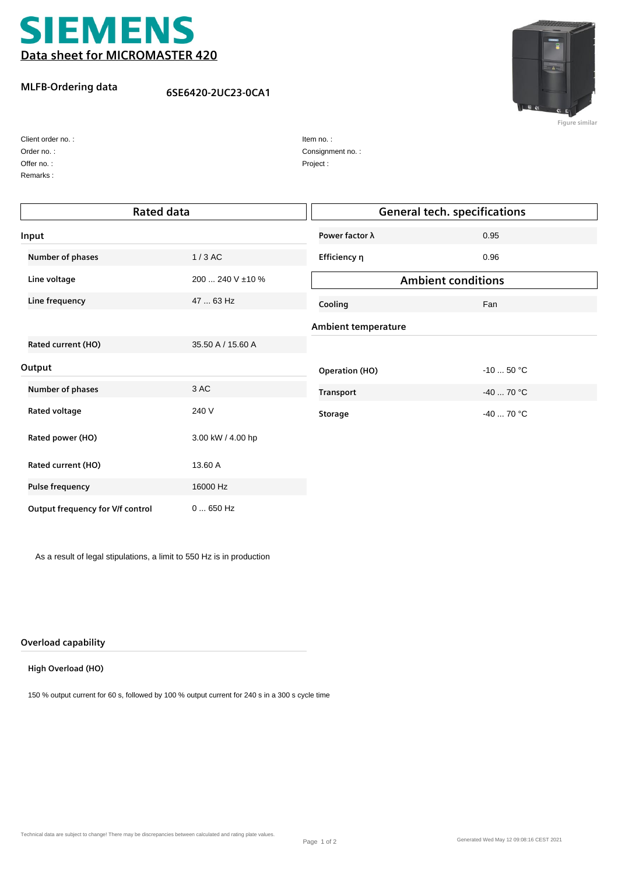

## **MLFB-Ordering data**

## **6SE6420-2UC23-0CA1**



**Figure similar**

| Client order no.: |
|-------------------|
| Order no.:        |
| Offer no.:        |

Remarks :

| Item no.:        |
|------------------|
| Consignment no.: |
| Project:         |

| <b>Rated data</b>                |                   | <b>General tech. specifications</b> |             |  |
|----------------------------------|-------------------|-------------------------------------|-------------|--|
| Input                            |                   | Power factor $\lambda$              | 0.95        |  |
| Number of phases                 | $1/3$ AC          | Efficiency η                        | 0.96        |  |
| Line voltage                     | 200  240 V ±10 %  | <b>Ambient conditions</b>           |             |  |
| Line frequency                   | 47  63 Hz         | Cooling                             | Fan         |  |
|                                  |                   | <b>Ambient temperature</b>          |             |  |
| Rated current (HO)               | 35.50 A / 15.60 A |                                     |             |  |
| Output                           |                   | <b>Operation (HO)</b>               | $-1050$ °C  |  |
| Number of phases                 | 3 AC              | <b>Transport</b>                    | $-40$ 70 °C |  |
| Rated voltage                    | 240 V             | <b>Storage</b>                      | $-40$ 70 °C |  |
| Rated power (HO)                 | 3.00 kW / 4.00 hp |                                     |             |  |
| Rated current (HO)               | 13.60 A           |                                     |             |  |
| <b>Pulse frequency</b>           | 16000 Hz          |                                     |             |  |
| Output frequency for V/f control | $0650$ Hz         |                                     |             |  |

As a result of legal stipulations, a limit to 550 Hz is in production

#### **Overload capability**

#### **High Overload (HO)**

150 % output current for 60 s, followed by 100 % output current for 240 s in a 300 s cycle time